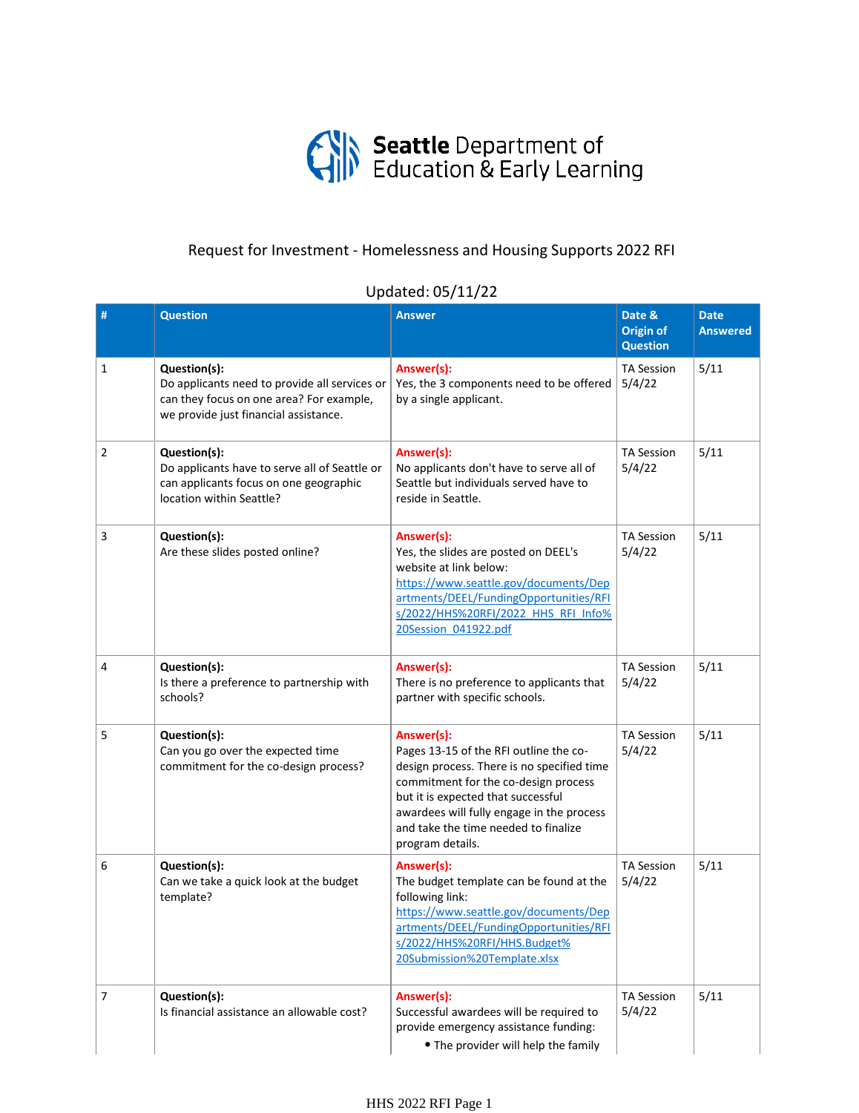

## Request for Investment - Homelessness and Housing Supports 2022 RFI

## Updated: 05/11/22

| #              | <b>Question</b>                                                                                                                                    | <b>Answer</b>                                                                                                                                                                                                                                                                             | Date &<br><b>Origin of</b><br><b>Question</b> | <b>Date</b><br><b>Answered</b> |
|----------------|----------------------------------------------------------------------------------------------------------------------------------------------------|-------------------------------------------------------------------------------------------------------------------------------------------------------------------------------------------------------------------------------------------------------------------------------------------|-----------------------------------------------|--------------------------------|
| 1              | Question(s):<br>Do applicants need to provide all services or<br>can they focus on one area? For example,<br>we provide just financial assistance. | Answer(s):<br>Yes, the 3 components need to be offered<br>by a single applicant.                                                                                                                                                                                                          | <b>TA Session</b><br>5/4/22                   | 5/11                           |
| $\overline{2}$ | Question(s):<br>Do applicants have to serve all of Seattle or<br>can applicants focus on one geographic<br>location within Seattle?                | Answer(s):<br>No applicants don't have to serve all of<br>Seattle but individuals served have to<br>reside in Seattle.                                                                                                                                                                    | <b>TA Session</b><br>5/4/22                   | 5/11                           |
| 3              | Question(s):<br>Are these slides posted online?                                                                                                    | Answer(s):<br>Yes, the slides are posted on DEEL's<br>website at link below:<br>https://www.seattle.gov/documents/Dep<br>artments/DEEL/FundingOpportunities/RFI<br>s/2022/HHS%20RFI/2022 HHS RFI Info%<br>20Session 041922.pdf                                                            | <b>TA Session</b><br>5/4/22                   | 5/11                           |
| 4              | Question(s):<br>Is there a preference to partnership with<br>schools?                                                                              | Answer(s):<br>There is no preference to applicants that<br>partner with specific schools.                                                                                                                                                                                                 | <b>TA Session</b><br>5/4/22                   | 5/11                           |
| 5              | Question(s):<br>Can you go over the expected time<br>commitment for the co-design process?                                                         | Answer(s):<br>Pages 13-15 of the RFI outline the co-<br>design process. There is no specified time<br>commitment for the co-design process<br>but it is expected that successful<br>awardees will fully engage in the process<br>and take the time needed to finalize<br>program details. | <b>TA Session</b><br>5/4/22                   | 5/11                           |
| 6              | Question(s):<br>Can we take a quick look at the budget<br>template?                                                                                | Answer(s):<br>The budget template can be found at the<br>following link:<br>https://www.seattle.gov/documents/Dep<br>artments/DEEL/FundingOpportunities/RFI<br>s/2022/HHS%20RFI/HHS.Budget%<br>20Submission%20Template.xlsx                                                               | <b>TA Session</b><br>5/4/22                   | 5/11                           |
| 7              | Question(s):<br>Is financial assistance an allowable cost?                                                                                         | Answer(s):<br>Successful awardees will be required to<br>provide emergency assistance funding:<br>• The provider will help the family                                                                                                                                                     | <b>TA Session</b><br>5/4/22                   | 5/11                           |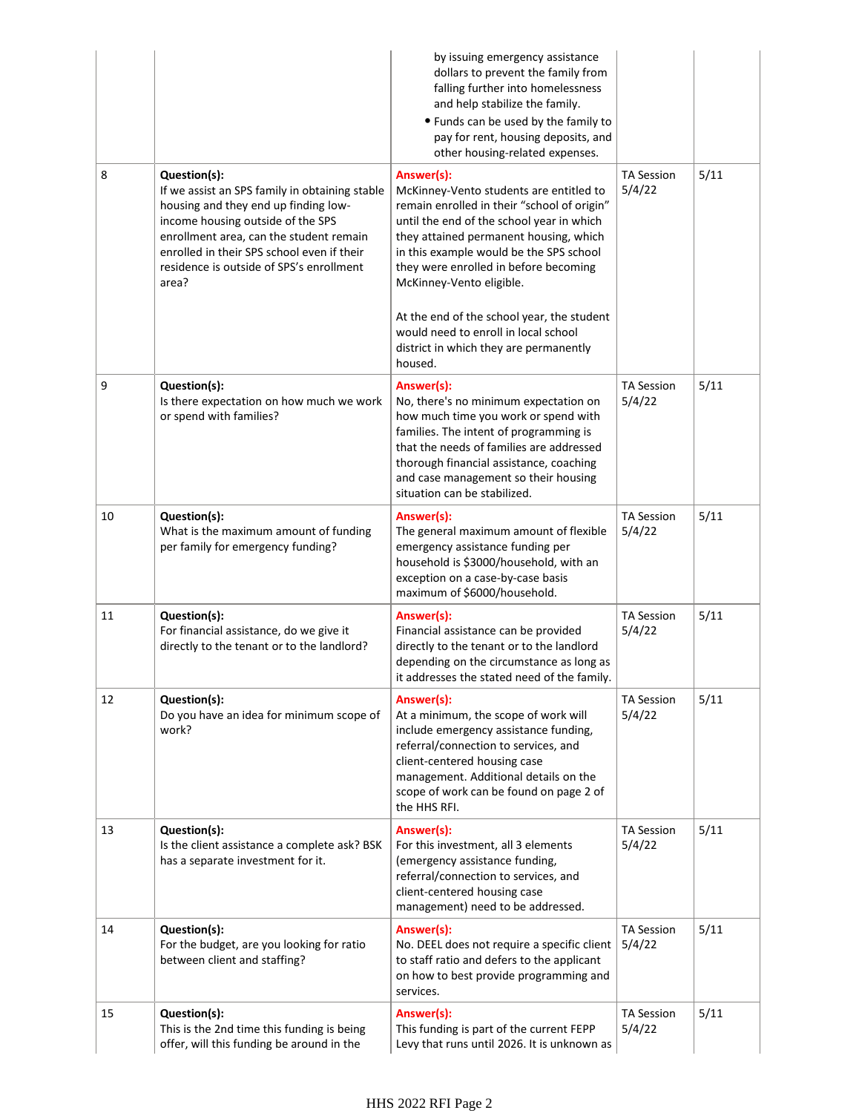|    |                                                                                                                                                                                                                                                                                           | by issuing emergency assistance<br>dollars to prevent the family from<br>falling further into homelessness<br>and help stabilize the family.<br>• Funds can be used by the family to<br>pay for rent, housing deposits, and<br>other housing-related expenses.                                                                                                                                    |                             |      |
|----|-------------------------------------------------------------------------------------------------------------------------------------------------------------------------------------------------------------------------------------------------------------------------------------------|---------------------------------------------------------------------------------------------------------------------------------------------------------------------------------------------------------------------------------------------------------------------------------------------------------------------------------------------------------------------------------------------------|-----------------------------|------|
| 8  | Question(s):<br>If we assist an SPS family in obtaining stable<br>housing and they end up finding low-<br>income housing outside of the SPS<br>enrollment area, can the student remain<br>enrolled in their SPS school even if their<br>residence is outside of SPS's enrollment<br>area? | Answer(s):<br>McKinney-Vento students are entitled to<br>remain enrolled in their "school of origin"<br>until the end of the school year in which<br>they attained permanent housing, which<br>in this example would be the SPS school<br>they were enrolled in before becoming<br>McKinney-Vento eligible.<br>At the end of the school year, the student<br>would need to enroll in local school | <b>TA Session</b><br>5/4/22 | 5/11 |
|    |                                                                                                                                                                                                                                                                                           | district in which they are permanently<br>housed.                                                                                                                                                                                                                                                                                                                                                 |                             |      |
| 9  | Question(s):<br>Is there expectation on how much we work<br>or spend with families?                                                                                                                                                                                                       | Answer(s):<br>No, there's no minimum expectation on<br>how much time you work or spend with<br>families. The intent of programming is<br>that the needs of families are addressed<br>thorough financial assistance, coaching<br>and case management so their housing<br>situation can be stabilized.                                                                                              | <b>TA Session</b><br>5/4/22 | 5/11 |
| 10 | Question(s):<br>What is the maximum amount of funding<br>per family for emergency funding?                                                                                                                                                                                                | Answer(s):<br>The general maximum amount of flexible<br>emergency assistance funding per<br>household is \$3000/household, with an<br>exception on a case-by-case basis<br>maximum of \$6000/household.                                                                                                                                                                                           | <b>TA Session</b><br>5/4/22 | 5/11 |
| 11 | Question(s):<br>For financial assistance, do we give it<br>directly to the tenant or to the landlord?                                                                                                                                                                                     | Answer(s):<br>Financial assistance can be provided<br>directly to the tenant or to the landlord<br>depending on the circumstance as long as<br>it addresses the stated need of the family.                                                                                                                                                                                                        | <b>TA Session</b><br>5/4/22 | 5/11 |
| 12 | Question(s):<br>Do you have an idea for minimum scope of<br>work?                                                                                                                                                                                                                         | Answer(s):<br>At a minimum, the scope of work will<br>include emergency assistance funding,<br>referral/connection to services, and<br>client-centered housing case<br>management. Additional details on the<br>scope of work can be found on page 2 of<br>the HHS RFI.                                                                                                                           | <b>TA Session</b><br>5/4/22 | 5/11 |
| 13 | Question(s):<br>Is the client assistance a complete ask? BSK<br>has a separate investment for it.                                                                                                                                                                                         | Answer(s):<br>For this investment, all 3 elements<br>(emergency assistance funding,<br>referral/connection to services, and<br>client-centered housing case<br>management) need to be addressed.                                                                                                                                                                                                  | <b>TA Session</b><br>5/4/22 | 5/11 |
| 14 | Question(s):<br>For the budget, are you looking for ratio<br>between client and staffing?                                                                                                                                                                                                 | Answer(s):<br>No. DEEL does not require a specific client<br>to staff ratio and defers to the applicant<br>on how to best provide programming and<br>services.                                                                                                                                                                                                                                    | <b>TA Session</b><br>5/4/22 | 5/11 |
| 15 | Question(s):<br>This is the 2nd time this funding is being<br>offer, will this funding be around in the                                                                                                                                                                                   | Answer(s):<br>This funding is part of the current FEPP<br>Levy that runs until 2026. It is unknown as                                                                                                                                                                                                                                                                                             | <b>TA Session</b><br>5/4/22 | 5/11 |